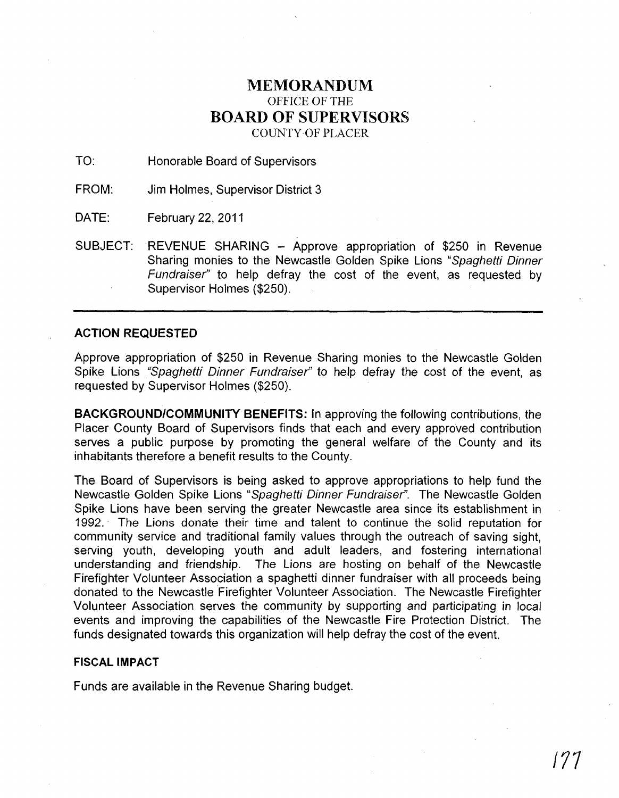## MEMORANDUM OFFICE OF THE BOARD OF SUPERVISORS COUNTY OF PLACER

TO: Honorable Board of Supervisors

FROM: Jim Holmes, Supervisor District 3

DATE: February 22, 2011

SUBJECT: REVENUE SHARING - Approve appropriation of \$250 in Revenue Sharing monies to the Newcastle Golden Spike Lions "Spaghetti Dinner Fundraiser" to help defray the cost of the event, as requested by Supervisor Holmes (\$250).

## ACTION REQUESTED

Approve appropriation of \$250 in Revenue Sharing monies to the Newcastle Golden Spike Lions "Spaghetti Dinner Fundraiser" to help defray the cost of the event, as requested by Supervisor Holmes (\$250).

BACKGROUND/COMMUNITY BENEFITS: In approving the following contributions, the Placer County Board of Supervisors finds that each and every approved contribution serves a public purpose by promoting the general welfare of the County and its inhabitants therefore a benefit results to the County.

The Board of Supervisors is being asked to approve appropriations to help fund the Newcastle Golden Spike Lions "Spaghetti Dinner Fundraiser". The Newcastle Golden Spike Lions have been serving the greater Newcastle area since its establishment in 1992." The Lions donate their time and talent to continue the solid reputation for community service and traditional family values through the outreach of saving sight, serving youth, developing youth and adult leaders, and fostering international understanding and friendship. The Lions are hosting on behalf of the Newcastle Firefighter Volunteer Association a spaghetti dinner fundraiser with all proceeds being donated to the Newcastle Firefighter Volunteer Association. The Newcastle Firefighter Volunteer Association serves the community by supporting and participating in local events and improving the capabilities of the Newcastle Fire Protection District. The funds designated towards this organization will help defray the cost of the event.

## FISCAL IMPACT

Funds are available in the Revenue Sharing budget.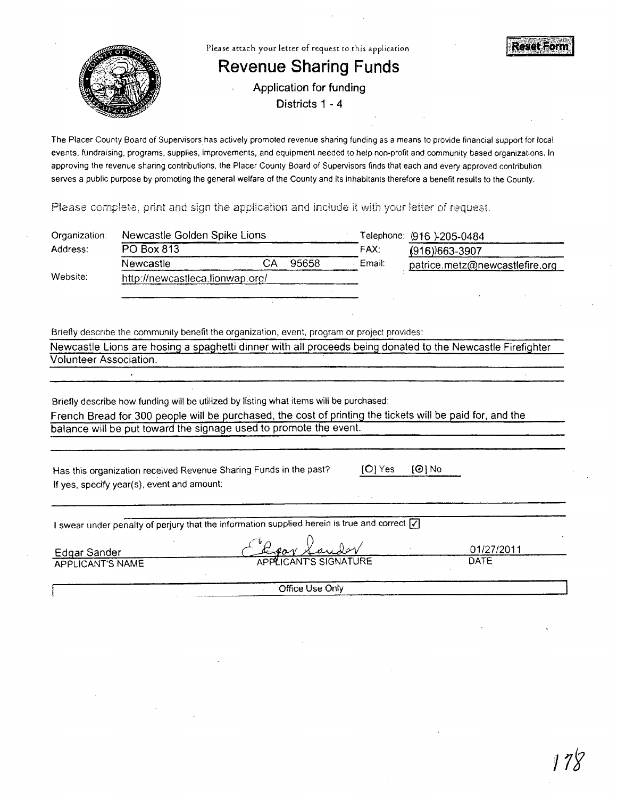

The Placer County Board of Supervisors has actively promoted revenue sharing funding as a means to provide financial support for local events, fundraising, programs, supplies, improvements, and equipment needed to help non-profit and community based organizations. In approving the revenue sharing contributions. the Placer County Board of Supervisors finds that each and every approved contribution serves a public purpose by promoting the general welfare of the County and its inhabitants therefore a benefit results to the County.

Please complete, print and sign the application and include it with your letter of request.

| Organization:                                                                                                                                                                                       | Newcastle Golden Spike Lions                                                                               |           |       |           | Telephone: (916 )-205-0484 |             |                                |  |
|-----------------------------------------------------------------------------------------------------------------------------------------------------------------------------------------------------|------------------------------------------------------------------------------------------------------------|-----------|-------|-----------|----------------------------|-------------|--------------------------------|--|
| Address:                                                                                                                                                                                            | PO Box 813                                                                                                 |           |       | FAX:      | $(916)$ 663-3907           |             |                                |  |
|                                                                                                                                                                                                     | Newcastle                                                                                                  | <b>CA</b> | 95658 | Email:    |                            |             | patrice.metz@newcastlefire.org |  |
| Website:                                                                                                                                                                                            | http://newcastleca.lionwap.org/                                                                            |           |       |           |                            |             |                                |  |
|                                                                                                                                                                                                     |                                                                                                            |           |       |           |                            |             |                                |  |
|                                                                                                                                                                                                     |                                                                                                            |           |       |           |                            |             |                                |  |
|                                                                                                                                                                                                     |                                                                                                            |           |       |           |                            |             |                                |  |
|                                                                                                                                                                                                     | Briefly describe the community benefit the organization, event, program or project provides:               |           |       |           |                            |             |                                |  |
|                                                                                                                                                                                                     | Newcastle Lions are hosing a spaghetti dinner with all proceeds being donated to the Newcastle Firefighter |           |       |           |                            |             |                                |  |
| Volunteer Association.                                                                                                                                                                              |                                                                                                            |           |       |           |                            |             |                                |  |
|                                                                                                                                                                                                     |                                                                                                            |           |       |           |                            |             |                                |  |
|                                                                                                                                                                                                     |                                                                                                            |           |       |           |                            |             |                                |  |
| Briefly describe how funding will be utilized by listing what items will be purchased:<br>French Bread for 300 people will be purchased, the cost of printing the tickets will be paid for, and the |                                                                                                            |           |       |           |                            |             |                                |  |
|                                                                                                                                                                                                     |                                                                                                            |           |       |           |                            |             |                                |  |
|                                                                                                                                                                                                     | balance will be put toward the signage used to promote the event.                                          |           |       |           |                            |             |                                |  |
|                                                                                                                                                                                                     |                                                                                                            |           |       |           |                            |             |                                |  |
|                                                                                                                                                                                                     |                                                                                                            |           |       | $[O]$ Yes | $[①]$ No                   |             |                                |  |
|                                                                                                                                                                                                     | Has this organization received Revenue Sharing Funds in the past?                                          |           |       |           |                            |             |                                |  |
|                                                                                                                                                                                                     | If yes, specify year(s), event and amount:                                                                 |           |       |           |                            |             |                                |  |
|                                                                                                                                                                                                     |                                                                                                            |           |       |           |                            |             |                                |  |
|                                                                                                                                                                                                     | I swear under penalty of perjury that the information supplied herein is true and correct $ \overline{V} $ |           |       |           |                            |             |                                |  |
|                                                                                                                                                                                                     |                                                                                                            |           |       |           |                            |             |                                |  |
|                                                                                                                                                                                                     | <b>Edgar Sander</b>                                                                                        |           |       |           |                            |             | 01/27/2011                     |  |
| <b>APPLICANT'S NAME</b>                                                                                                                                                                             |                                                                                                            |           |       |           |                            | <b>DATE</b> |                                |  |
|                                                                                                                                                                                                     |                                                                                                            |           |       |           |                            |             |                                |  |
| Office Use Only                                                                                                                                                                                     |                                                                                                            |           |       |           |                            |             |                                |  |
|                                                                                                                                                                                                     |                                                                                                            |           |       |           |                            |             |                                |  |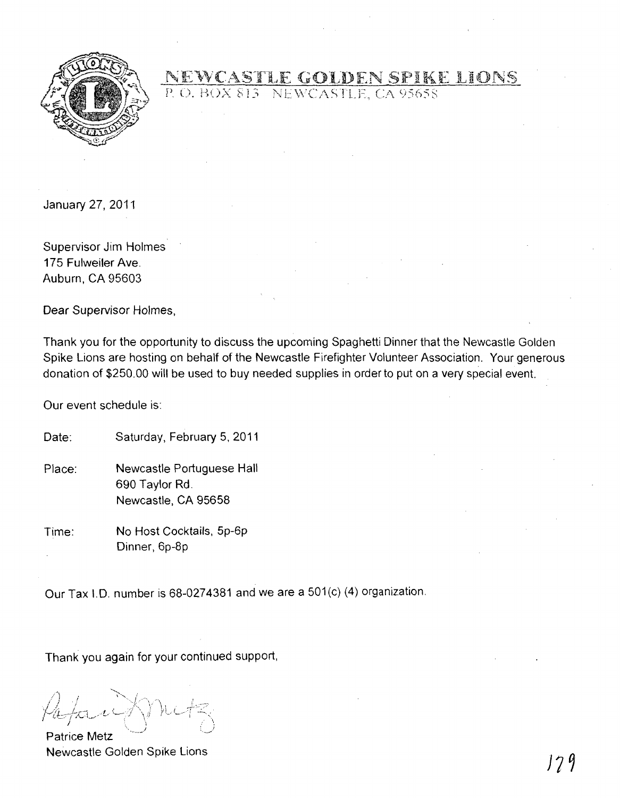

NEWCASTLE GOLDEN SPIKE LIONS

January 27, 2011

Supervisor Jim Holmes 175 Fulweiler Ave. Auburn, CA 95603

Dear Supervisor Holmes,

Thank you for the opportunity to discuss the upcoming Spaghetti Dinner that the Newcastle Golden Spike Lions are hosting on behalf of the Newcastle Firefighter Volunteer Association. Your generous donation of \$250.00 will be used to buy needed supplies in order to put on a very special event.

Our event schedule is:

Date: Saturday, February 5, 2011

- Place: Newcastle Portuguese Hall 690 Taylor Rd. Newcastle, CA 95658
- Time: No Host Cocktails, 5p-6p Dinner, 6p-8p

Our Tax 1.0. number is 68-0274381 and we are a 501 (c) (4) organization.

Thank you again for your continued support,

\ i

Patrice Metz Newcastle Golden Spike Lions